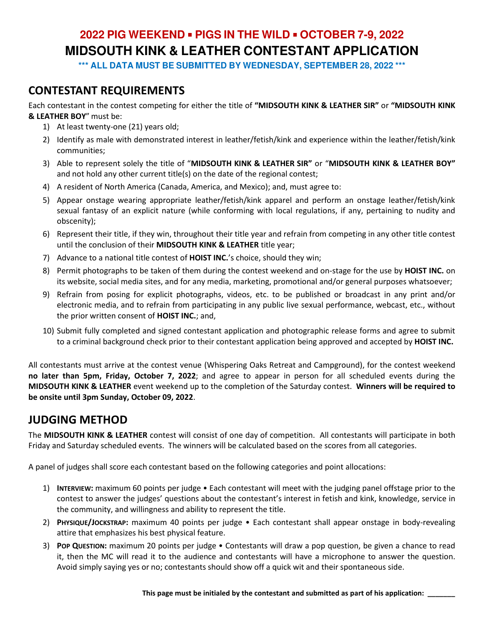**\*\*\* ALL DATA MUST BE SUBMITTED BY WEDNESDAY, SEPTEMBER 28, 2022 \*\*\*** 

### **CONTESTANT REQUIREMENTS**

Each contestant in the contest competing for either the title of **"MIDSOUTH KINK & LEATHER SIR"** or **"MIDSOUTH KINK & LEATHER BOY**" must be:

- 1) At least twenty-one (21) years old;
- 2) Identify as male with demonstrated interest in leather/fetish/kink and experience within the leather/fetish/kink communities;
- 3) Able to represent solely the title of "**MIDSOUTH KINK & LEATHER SIR"** or "**MIDSOUTH KINK & LEATHER BOY"** and not hold any other current title(s) on the date of the regional contest;
- 4) A resident of North America (Canada, America, and Mexico); and, must agree to:
- 5) Appear onstage wearing appropriate leather/fetish/kink apparel and perform an onstage leather/fetish/kink sexual fantasy of an explicit nature (while conforming with local regulations, if any, pertaining to nudity and obscenity);
- 6) Represent their title, if they win, throughout their title year and refrain from competing in any other title contest until the conclusion of their **MIDSOUTH KINK & LEATHER** title year;
- 7) Advance to a national title contest of **HOIST INC.**'s choice, should they win;
- 8) Permit photographs to be taken of them during the contest weekend and on-stage for the use by **HOIST INC.** on its website, social media sites, and for any media, marketing, promotional and/or general purposes whatsoever;
- 9) Refrain from posing for explicit photographs, videos, etc. to be published or broadcast in any print and/or electronic media, and to refrain from participating in any public live sexual performance, webcast, etc., without the prior written consent of **HOIST INC.**; and,
- 10) Submit fully completed and signed contestant application and photographic release forms and agree to submit to a criminal background check prior to their contestant application being approved and accepted by **HOIST INC.**

All contestants must arrive at the contest venue (Whispering Oaks Retreat and Campground), for the contest weekend **no later than 5pm, Friday, October 7, 2022**; and agree to appear in person for all scheduled events during the **MIDSOUTH KINK & LEATHER** event weekend up to the completion of the Saturday contest. **Winners will be required to be onsite until 3pm Sunday, October 09, 2022**.

### **JUDGING METHOD**

The **MIDSOUTH KINK & LEATHER** contest will consist of one day of competition. All contestants will participate in both Friday and Saturday scheduled events. The winners will be calculated based on the scores from all categories.

A panel of judges shall score each contestant based on the following categories and point allocations:

- 1) **INTERVIEW:** maximum 60 points per judge Each contestant will meet with the judging panel offstage prior to the contest to answer the judges' questions about the contestant's interest in fetish and kink, knowledge, service in the community, and willingness and ability to represent the title.
- 2) **PHYSIQUE/JOCKSTRAP:** maximum 40 points per judge Each contestant shall appear onstage in body-revealing attire that emphasizes his best physical feature.
- 3) **POP QUESTION:** maximum 20 points per judge Contestants will draw a pop question, be given a chance to read it, then the MC will read it to the audience and contestants will have a microphone to answer the question. Avoid simply saying yes or no; contestants should show off a quick wit and their spontaneous side.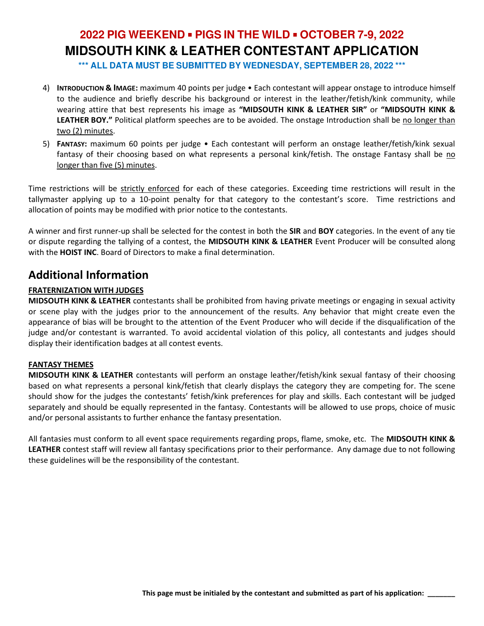**\*\*\* ALL DATA MUST BE SUBMITTED BY WEDNESDAY, SEPTEMBER 28, 2022 \*\*\*** 

- 4) **INTRODUCTION & IMAGE:** maximum 40 points per judge Each contestant will appear onstage to introduce himself to the audience and briefly describe his background or interest in the leather/fetish/kink community, while wearing attire that best represents his image as **"MIDSOUTH KINK & LEATHER SIR"** or **"MIDSOUTH KINK & LEATHER BOY."** Political platform speeches are to be avoided. The onstage Introduction shall be no longer than two (2) minutes.
- 5) **FANTASY:** maximum 60 points per judge Each contestant will perform an onstage leather/fetish/kink sexual fantasy of their choosing based on what represents a personal kink/fetish. The onstage Fantasy shall be no longer than five (5) minutes.

Time restrictions will be strictly enforced for each of these categories. Exceeding time restrictions will result in the tallymaster applying up to a 10-point penalty for that category to the contestant's score. Time restrictions and allocation of points may be modified with prior notice to the contestants.

A winner and first runner-up shall be selected for the contest in both the **SIR** and **BOY** categories. In the event of any tie or dispute regarding the tallying of a contest, the **MIDSOUTH KINK & LEATHER** Event Producer will be consulted along with the **HOIST INC**. Board of Directors to make a final determination.

### **Additional Information**

#### **FRATERNIZATION WITH JUDGES**

**MIDSOUTH KINK & LEATHER** contestants shall be prohibited from having private meetings or engaging in sexual activity or scene play with the judges prior to the announcement of the results. Any behavior that might create even the appearance of bias will be brought to the attention of the Event Producer who will decide if the disqualification of the judge and/or contestant is warranted. To avoid accidental violation of this policy, all contestants and judges should display their identification badges at all contest events.

#### **FANTASY THEMES**

**MIDSOUTH KINK & LEATHER** contestants will perform an onstage leather/fetish/kink sexual fantasy of their choosing based on what represents a personal kink/fetish that clearly displays the category they are competing for. The scene should show for the judges the contestants' fetish/kink preferences for play and skills. Each contestant will be judged separately and should be equally represented in the fantasy. Contestants will be allowed to use props, choice of music and/or personal assistants to further enhance the fantasy presentation.

All fantasies must conform to all event space requirements regarding props, flame, smoke, etc. The **MIDSOUTH KINK & LEATHER** contest staff will review all fantasy specifications prior to their performance. Any damage due to not following these guidelines will be the responsibility of the contestant.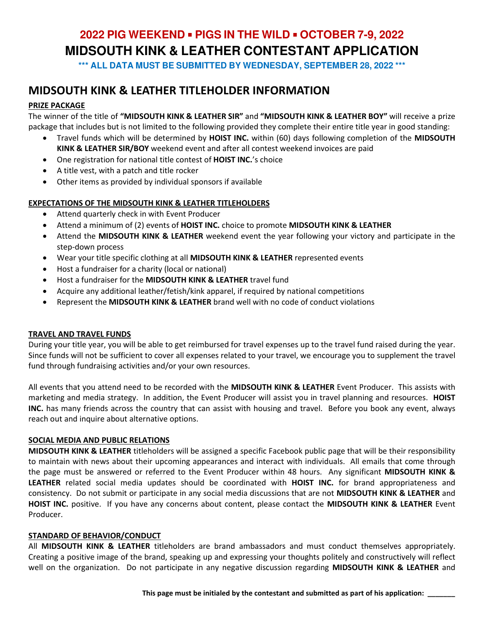**\*\*\* ALL DATA MUST BE SUBMITTED BY WEDNESDAY, SEPTEMBER 28, 2022 \*\*\*** 

### **MIDSOUTH KINK & LEATHER TITLEHOLDER INFORMATION**

#### **PRIZE PACKAGE**

The winner of the title of **"MIDSOUTH KINK & LEATHER SIR"** and **"MIDSOUTH KINK & LEATHER BOY"** will receive a prize package that includes but is not limited to the following provided they complete their entire title year in good standing:

- Travel funds which will be determined by **HOIST INC.** within (60) days following completion of the **MIDSOUTH KINK & LEATHER SIR/BOY** weekend event and after all contest weekend invoices are paid
- One registration for national title contest of **HOIST INC.**'s choice
- A title vest, with a patch and title rocker
- Other items as provided by individual sponsors if available

#### **EXPECTATIONS OF THE MIDSOUTH KINK & LEATHER TITLEHOLDERS**

- Attend quarterly check in with Event Producer
- Attend a minimum of (2) events of **HOIST INC.** choice to promote **MIDSOUTH KINK & LEATHER**
- Attend the **MIDSOUTH KINK & LEATHER** weekend event the year following your victory and participate in the step-down process
- Wear your title specific clothing at all **MIDSOUTH KINK & LEATHER** represented events
- Host a fundraiser for a charity (local or national)
- Host a fundraiser for the **MIDSOUTH KINK & LEATHER** travel fund
- Acquire any additional leather/fetish/kink apparel, if required by national competitions
- Represent the **MIDSOUTH KINK & LEATHER** brand well with no code of conduct violations

#### **TRAVEL AND TRAVEL FUNDS**

During your title year, you will be able to get reimbursed for travel expenses up to the travel fund raised during the year. Since funds will not be sufficient to cover all expenses related to your travel, we encourage you to supplement the travel fund through fundraising activities and/or your own resources.

All events that you attend need to be recorded with the **MIDSOUTH KINK & LEATHER** Event Producer. This assists with marketing and media strategy. In addition, the Event Producer will assist you in travel planning and resources. **HOIST INC.** has many friends across the country that can assist with housing and travel. Before you book any event, always reach out and inquire about alternative options.

#### **SOCIAL MEDIA AND PUBLIC RELATIONS**

**MIDSOUTH KINK & LEATHER** titleholders will be assigned a specific Facebook public page that will be their responsibility to maintain with news about their upcoming appearances and interact with individuals. All emails that come through the page must be answered or referred to the Event Producer within 48 hours. Any significant **MIDSOUTH KINK & LEATHER** related social media updates should be coordinated with **HOIST INC.** for brand appropriateness and consistency. Do not submit or participate in any social media discussions that are not **MIDSOUTH KINK & LEATHER** and **HOIST INC.** positive. If you have any concerns about content, please contact the **MIDSOUTH KINK & LEATHER** Event Producer.

#### **STANDARD OF BEHAVIOR/CONDUCT**

All **MIDSOUTH KINK & LEATHER** titleholders are brand ambassadors and must conduct themselves appropriately. Creating a positive image of the brand, speaking up and expressing your thoughts politely and constructively will reflect well on the organization. Do not participate in any negative discussion regarding **MIDSOUTH KINK & LEATHER** and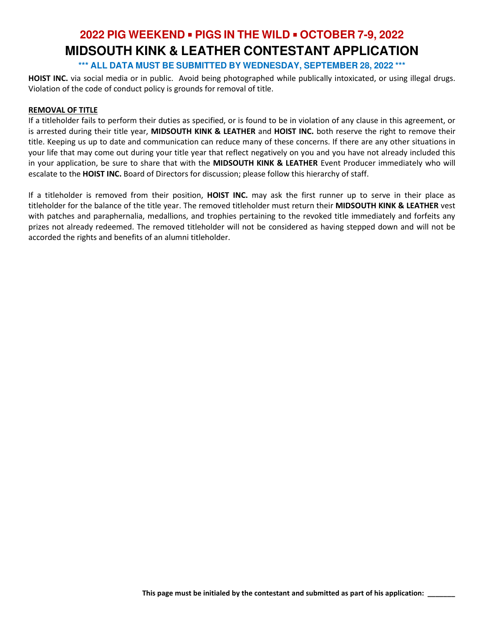**\*\*\* ALL DATA MUST BE SUBMITTED BY WEDNESDAY, SEPTEMBER 28, 2022 \*\*\*** 

**HOIST INC.** via social media or in public. Avoid being photographed while publically intoxicated, or using illegal drugs. Violation of the code of conduct policy is grounds for removal of title.

#### **REMOVAL OF TITLE**

If a titleholder fails to perform their duties as specified, or is found to be in violation of any clause in this agreement, or is arrested during their title year, **MIDSOUTH KINK & LEATHER** and **HOIST INC.** both reserve the right to remove their title. Keeping us up to date and communication can reduce many of these concerns. If there are any other situations in your life that may come out during your title year that reflect negatively on you and you have not already included this in your application, be sure to share that with the **MIDSOUTH KINK & LEATHER** Event Producer immediately who will escalate to the **HOIST INC.** Board of Directors for discussion; please follow this hierarchy of staff.

If a titleholder is removed from their position, **HOIST INC.** may ask the first runner up to serve in their place as titleholder for the balance of the title year. The removed titleholder must return their **MIDSOUTH KINK & LEATHER** vest with patches and paraphernalia, medallions, and trophies pertaining to the revoked title immediately and forfeits any prizes not already redeemed. The removed titleholder will not be considered as having stepped down and will not be accorded the rights and benefits of an alumni titleholder.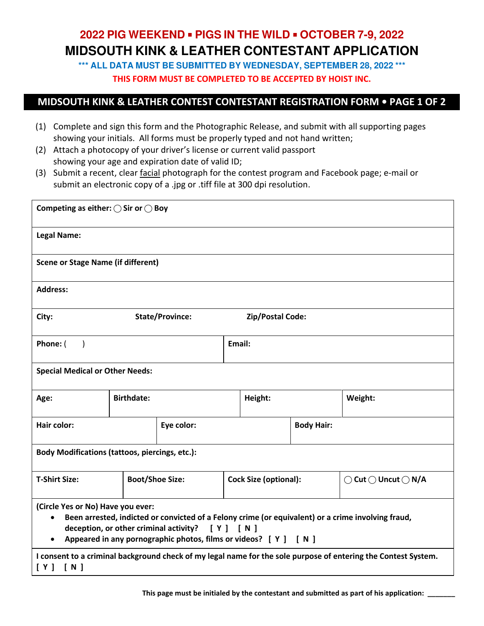**\*\*\* ALL DATA MUST BE SUBMITTED BY WEDNESDAY, SEPTEMBER 28, 2022 \*\*\* THIS FORM MUST BE COMPLETED TO BE ACCEPTED BY HOIST INC.** 

### **MIDSOUTH KINK & LEATHER CONTEST CONTESTANT REGISTRATION FORM • PAGE 1 OF 2**

- (1) Complete and sign this form and the Photographic Release, and submit with all supporting pages showing your initials. All forms must be properly typed and not hand written;
- (2) Attach a photocopy of your driver's license or current valid passport showing your age and expiration date of valid ID;
- (3) Submit a recent, clear facial photograph for the contest program and Facebook page; e-mail or submit an electronic copy of a .jpg or .tiff file at 300 dpi resolution.

| Competing as either: $\bigcirc$ Sir or $\bigcirc$ Boy                                                                                                                                                                                                                           |                        |            |                              |                         |                   |                                                |  |  |
|---------------------------------------------------------------------------------------------------------------------------------------------------------------------------------------------------------------------------------------------------------------------------------|------------------------|------------|------------------------------|-------------------------|-------------------|------------------------------------------------|--|--|
| <b>Legal Name:</b>                                                                                                                                                                                                                                                              |                        |            |                              |                         |                   |                                                |  |  |
| <b>Scene or Stage Name (if different)</b>                                                                                                                                                                                                                                       |                        |            |                              |                         |                   |                                                |  |  |
| <b>Address:</b>                                                                                                                                                                                                                                                                 |                        |            |                              |                         |                   |                                                |  |  |
| City:                                                                                                                                                                                                                                                                           | <b>State/Province:</b> |            |                              | <b>Zip/Postal Code:</b> |                   |                                                |  |  |
| Phone: (<br>$\rightarrow$                                                                                                                                                                                                                                                       |                        |            | Email:                       |                         |                   |                                                |  |  |
| <b>Special Medical or Other Needs:</b>                                                                                                                                                                                                                                          |                        |            |                              |                         |                   |                                                |  |  |
| Age:                                                                                                                                                                                                                                                                            | <b>Birthdate:</b>      |            |                              | Height:                 |                   | Weight:                                        |  |  |
| Hair color:                                                                                                                                                                                                                                                                     |                        | Eye color: |                              |                         | <b>Body Hair:</b> |                                                |  |  |
| <b>Body Modifications (tattoos, piercings, etc.):</b>                                                                                                                                                                                                                           |                        |            |                              |                         |                   |                                                |  |  |
| <b>T-Shirt Size:</b>                                                                                                                                                                                                                                                            | <b>Boot/Shoe Size:</b> |            | <b>Cock Size (optional):</b> |                         |                   | $\bigcirc$ Cut $\bigcirc$ Uncut $\bigcirc$ N/A |  |  |
| (Circle Yes or No) Have you ever:<br>Been arrested, indicted or convicted of a Felony crime (or equivalent) or a crime involving fraud,<br>$\bullet$<br>deception, or other criminal activity? [ Y ] [ N ]<br>Appeared in any pornographic photos, films or videos? [ Y ] [ N ] |                        |            |                              |                         |                   |                                                |  |  |
| I consent to a criminal background check of my legal name for the sole purpose of entering the Contest System.<br>[N]<br>[Y]                                                                                                                                                    |                        |            |                              |                         |                   |                                                |  |  |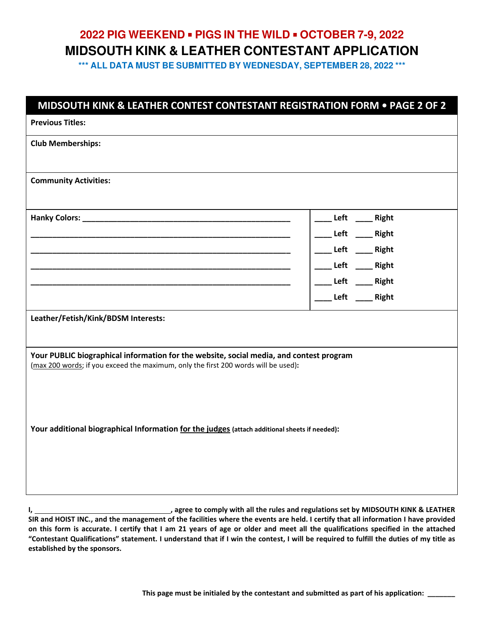**\*\*\* ALL DATA MUST BE SUBMITTED BY WEDNESDAY, SEPTEMBER 28, 2022 \*\*\*** 

| MIDSOUTH KINK & LEATHER CONTEST CONTESTANT REGISTRATION FORM . PAGE 2 OF 2                                                                                                    |                                                         |  |  |  |  |  |
|-------------------------------------------------------------------------------------------------------------------------------------------------------------------------------|---------------------------------------------------------|--|--|--|--|--|
| <b>Previous Titles:</b>                                                                                                                                                       |                                                         |  |  |  |  |  |
| <b>Club Memberships:</b>                                                                                                                                                      |                                                         |  |  |  |  |  |
| <b>Community Activities:</b>                                                                                                                                                  |                                                         |  |  |  |  |  |
| <u> 1989 - Johann John Harry, margaret amerikan basal (</u>                                                                                                                   | Left _____ Right<br>Left _____ Right                    |  |  |  |  |  |
|                                                                                                                                                                               | Left _____ Right<br>_Left ____Right<br>Left _____ Right |  |  |  |  |  |
| Leather/Fetish/Kink/BDSM Interests:                                                                                                                                           | ___ Left ____ Right                                     |  |  |  |  |  |
| Your PUBLIC biographical information for the website, social media, and contest program<br>(max 200 words; if you exceed the maximum, only the first 200 words will be used): |                                                         |  |  |  |  |  |
| Your additional biographical Information for the judges (attach additional sheets if needed):                                                                                 |                                                         |  |  |  |  |  |
|                                                                                                                                                                               |                                                         |  |  |  |  |  |

**I, the rules and regulations set by MIDSOUTH KINK & LEATHER in the rules and regulations set by MIDSOUTH KINK & LEATHER SIR and HOIST INC., and the management of the facilities where the events are held. I certify that all information I have provided on this form is accurate. I certify that I am 21 years of age or older and meet all the qualifications specified in the attached "Contestant Qualifications" statement. I understand that if I win the contest, I will be required to fulfill the duties of my title as established by the sponsors.**